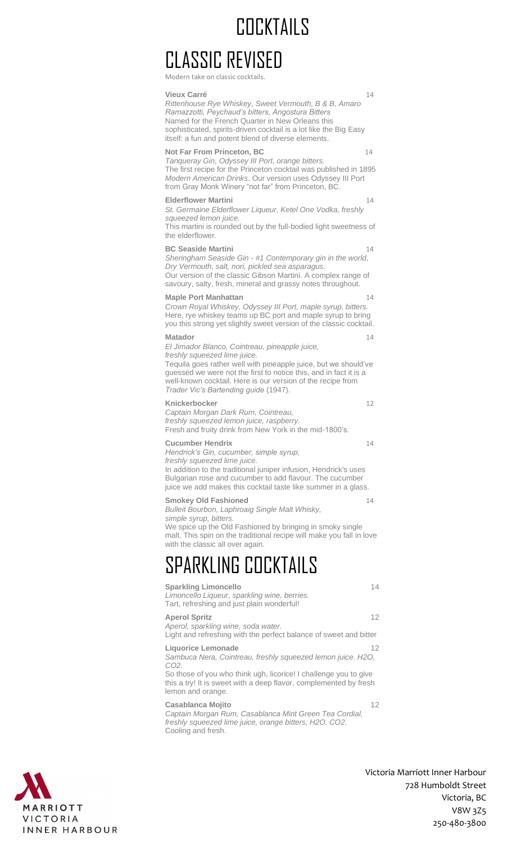## COCKTAILS

## CLASSIC REVISED

Modern take on classic cocktail

**Vieux Carré** 14 *Rittenhouse Rye Whiskey, Sweet Vermouth, B & B, Amaro Ramazzotti, Peychaud's bitters, Angostura Bitters* Named for the French Quarter in New Orleans this sophisticated, spirits-driven cocktail is a lot like the Big Easy itself: a fun and potent blend of diverse elements. **Not Far From Princeton, BC** 14 *Tanqueray Gin, Odyssey III Port, orange bitters.* The first recipe for the Princeton cocktail was published in 1895 *Modern American Drinks*. Our version uses Odyssey III Port from Gray Monk Winery "not far" from Princeton, BC. **Elderflower Martini** 14 *St. Germaine Elderflower Liqueur, Ketel One Vodka, freshly squeezed lemon juice.* This martini is rounded out by the full-bodied light sweetness of the elderflower. **BC Seaside Martini** 14 *Sheringham Seaside Gin - #1 Contemporary gin in the world, Dry Vermouth, salt, nori, pickled sea asparagus.* Our version of the classic Gibson Martini. A complex range of savoury, salty, fresh, mineral and grassy notes throughout. **Maple Port Manhattan** 14 *Crown Royal Whiskey, Odyssey III Port, maple syrup, bitters.*  Here, rye whiskey teams up BC port and maple syrup to bring you this strong yet slightly sweet version of the classic cocktail. **Matador** 14 *El Jimador Blanco, Cointreau, pineapple juice, freshly squeezed lime juice.* Tequila goes rather well with pineapple juice, but we should've guessed we were not the first to notice this, and in fact it is a well-known cocktail. Here is our version of the recipe from *Trader Vic's Bartending guide* (1947). **Knickerbocker** 12 *Captain Morgan Dark Rum, Cointreau, freshly squeezed lemon juice, raspberry.* Fresh and fruity drink from New York in the mid-1800's. **Cucumber Hendrix** 14 *Hendrick's Gin, cucumber, simple syrup, freshly squeezed lime juice.* In addition to the traditional juniper infusion, Hendrick's uses Bulgarian rose and cucumber to add flavour. The cucumber juice we add makes this cocktail taste like summer in a glass. **Smokey Old Fashioned** 14 *Bulleit Bourbon, Laphroaig Single Malt Whisky, simple syrup, bitters.*  We spice up the Old Fashioned by bringing in smoky single malt. This spin on the traditional recipe will make you fall in love with the classic all over again. SPARKLING COCKTAILS **Sparkling Limoncello** 14 *Limoncello Liqueur, sparkling wine, berries.* Tart, refreshing and just plain wonderful! **Aperol Spritz** 12 *Aperol, sparkling wine, soda water.* Light and refreshing with the perfect balance of sweet and bitter **Liquorice Lemonade** 12 *Sambuca Nera, Cointreau, freshly squeezed lemon juice. H2O, CO2.* So those of you who think ugh, licorice! I challenge you to give this a try! It is sweet with a deep flavor, complemented by fresh lemon and orange. **Casablanca Mojito** 12 *Captain Morgan Rum, Casablanca Mint Green Tea Cordial, freshly squeezed lime juice, orange bitters, H2O, CO2.*  Cooling and fresh.

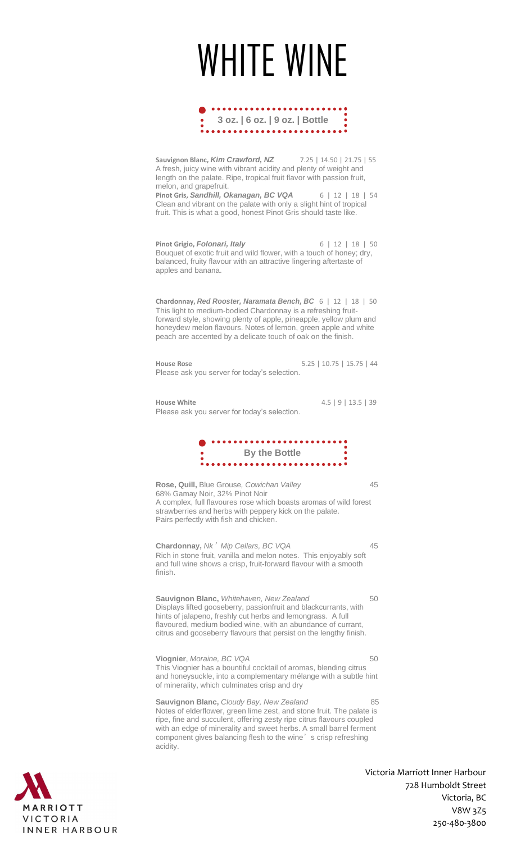# WHITE WINE



**Sauvignon Blanc,** *Kim Crawford, NZ* 7.25 | 14.50 | 21.75 | 55 A fresh, juicy wine with vibrant acidity and plenty of weight and length on the palate. Ripe, tropical fruit flavor with passion fruit, melon, and grapefruit. **Pinot Gris,** *Sandhill, Okanagan, BC VQA* 6 | 12 | 18 | 54 Clean and vibrant on the palate with only a slight hint of tropical

fruit. This is what a good, honest Pinot Gris should taste like.

**Pinot Grigio,** *Folonari, Italy* 6 | 12 | 18 | 50 Bouquet of exotic fruit and wild flower, with a touch of honey; dry, balanced, fruity flavour with an attractive lingering aftertaste of apples and banana.

**Chardonnay,** *Red Rooster, Naramata Bench, BC* 6 | 12 | 18 | 50 This light to medium-bodied Chardonnay is a refreshing fruitforward style, showing plenty of apple, pineapple, yellow plum and honeydew melon flavours. Notes of lemon, green apple and white peach are accented by a delicate touch of oak on the finish.

**House Rose** 5.25 | 10.75 | 15.75 | 44 Please ask you server for today's selection.

**House White** 4.5 | 9 | 13.5 | 39 Please ask you server for today's selection.



**Rose, Quill,** Blue Grouse*, Cowichan Valley* 45 68% Gamay Noir, 32% Pinot Noir A complex, full flavoures rose which boasts aromas of wild forest strawberries and herbs with peppery kick on the palate. Pairs perfectly with fish and chicken.

**Chardonnay,** *Nk*'*Mip Cellars, BC VQA* 45 Rich in stone fruit, vanilla and melon notes. This enjoyably soft and full wine shows a crisp, fruit-forward flavour with a smooth finish.

**Sauvignon Blanc,** *Whitehaven, New Zealand* 50 Displays lifted gooseberry, passionfruit and blackcurrants, with hints of jalapeno, freshly cut herbs and lemongrass. A full flavoured, medium bodied wine, with an abundance of currant, citrus and gooseberry flavours that persist on the lengthy finish.

**Viognier**, *Moraine, BC VQA* 50 This Viognier has a bountiful cocktail of aromas, blending citrus and honeysuckle, into a complementary mélange with a subtle hint of minerality, which culminates crisp and dry

**Sauvignon Blanc,** *Cloudy Bay, New Zealand* 85 Notes of elderflower, green lime zest, and stone fruit. The palate is ripe, fine and succulent, offering zesty ripe citrus flavours coupled with an edge of minerality and sweet herbs. A small barrel ferment component gives balancing flesh to the wine's crisp refreshing acidity.

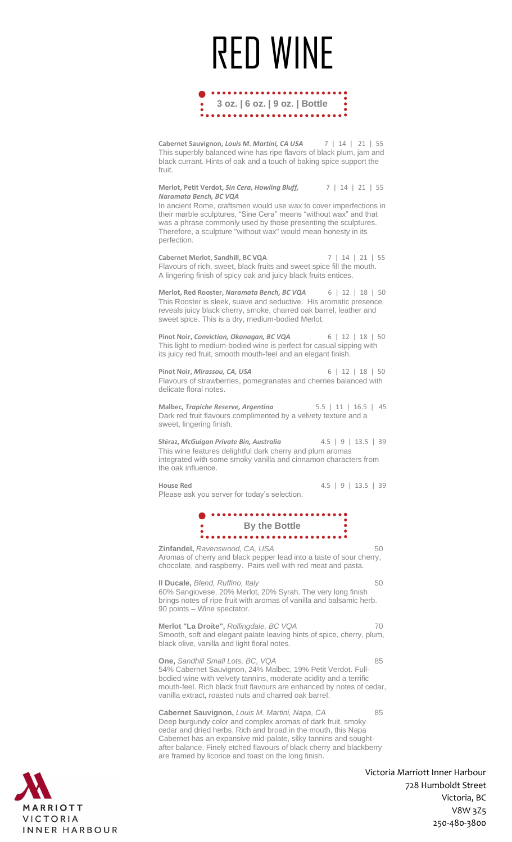# RED WINE



**Cabernet Sauvignon,** *Louis M. Martini, CA USA* 7 | 14 | 21 | 55 This superbly balanced wine has ripe flavors of black plum, jam and black currant. Hints of oak and a touch of baking spice support the fruit.

**Merlot, Petit Verdot,** *Sin Cera, Howling Bluff,* 7 | 14 | 21 | 55 *Naramata Bench, BC VQA*

In ancient Rome, craftsmen would use wax to cover imperfections in their marble sculptures, "Sine Cera" means "without wax" and that was a phrase commonly used by those presenting the sculptures. Therefore, a sculpture "without wax" would mean honesty in its perfection.

**Cabernet Merlot, Sandhill, BC VQA** 7 | 14 | 21 | 55 Flavours of rich, sweet, black fruits and sweet spice fill the mouth. A lingering finish of spicy oak and juicy black fruits entices.

**Merlot, Red Rooster,** *Naramata Bench, BC VQA* 6 | 12 | 18 | 50 This Rooster is sleek, suave and seductive. His aromatic presence reveals juicy black cherry, smoke, charred oak barrel, leather and sweet spice. This is a dry, medium-bodied Merlot.

**Pinot Noir,** *Conviction, Okanagan, BC VQA* 6 | 12 | 18 | 50 This light to medium-bodied wine is perfect for casual sipping with its juicy red fruit, smooth mouth-feel and an elegant finish.

**Pinot Noir,** *Mirassou, CA, USA* 6 | 12 | 18 | 50 Flavours of strawberries, pomegranates and cherries balanced with delicate floral notes.

**Malbec,** *Trapiche Reserve, Argentina* 5.5 | 11 | 16.5 | 45 Dark red fruit flavours complimented by a velvety texture and a sweet, lingering finish.

**Shiraz,** *McGuigan Private Bin, Australia* 4.5 | 9 | 13.5 | 39 This wine features delightful dark cherry and plum aromas integrated with some smoky vanilla and cinnamon characters from the oak influence.

**House Red** 4.5 | 9 | 13.5 | 39 Please ask you server for today's selection.



**Zinfandel,** *Ravenswood, CA, USA* 50 Aromas of cherry and black pepper lead into a taste of sour cherry, chocolate, and raspberry. Pairs well with red meat and pasta.

**II Ducale,** *Blend, Ruffino, Italy* 60 60% Sangiovese, 20% Merlot, 20% Syrah. The very long finish brings notes of ripe fruit with aromas of vanilla and balsamic herb. 90 points – Wine spectator.

**Merlot "La Droite",** *Rollingdale, BC VQA* 70 Smooth, soft and elegant palate leaving hints of spice, cherry, plum, black olive, vanilla and light floral notes.

**One,** *Sandhill Small Lots, BC, VQA* 85 54% Cabernet Sauvignon, 24% Malbec, 19% Petit Verdot. Fullbodied wine with velvety tannins, moderate acidity and a terrific mouth-feel. Rich black fruit flavours are enhanced by notes of cedar, vanilla extract, roasted nuts and charred oak barrel.

**Cabernet Sauvignon,** *Louis M. Martini, Napa, CA* 85 Deep burgundy color and complex aromas of dark fruit, smoky cedar and dried herbs. Rich and broad in the mouth, this Napa Cabernet has an expansive mid-palate, silky tannins and soughtafter balance. Finely etched flavours of black cherry and blackberry are framed by licorice and toast on the long finish.

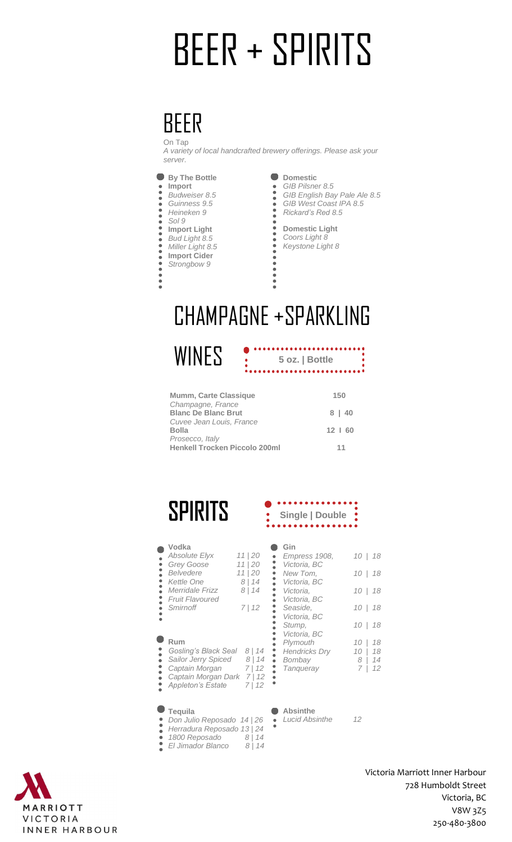# BEER + SPIRITS

#### BEER On Tap

*A variety of local handcrafted brewery offerings. Please ask your server.* 



- *Budweiser 8.5*
- **Import**<br>**Budweis**<br>**Guinnes**<br>*Heineke Guinness 9.5*
- *Heineken 9*
- *Sol 9* **Import Light**
- ----------*Bud Light 8.5*
- *Miller Light 8.5*
- **Import Cider**
- *Strongbow 9*

 $\ddot{\bullet}$ 

- 
- **Domestic** *GIB Pilsner 8.5*  $\bullet$
- *GIB English Bay Pale Ale 8.5 GIB West Coast IPA 8.5 Rickard's Red 8.5*
	- **Domestic Light**
	- *Coors Light 8 Keystone Light 8*

**5 oz. | Bottle**

..............

## CHAMPAGNE +SPARKLING

.....

**WINES** 

| Mumm, Carte Classique                | 150          |
|--------------------------------------|--------------|
| Champagne, France                    |              |
| <b>Blanc De Blanc Brut</b>           | 8   40       |
| Cuvee Jean Louis, France             |              |
| Bolla                                | $12 \mid 60$ |
| Prosecco, Italy                      |              |
| <b>Henkell Trocken Piccolo 200ml</b> | 11           |

 $\frac{1}{2}$ 

## **SPIRITS**

| Vodka                |  |
|----------------------|--|
| <b>Absolute Elyx</b> |  |
| Grey Goose           |  |

| <b>Absolute Elyx</b>   | 11 20 |
|------------------------|-------|
| <b>Grey Goose</b>      | 11 20 |
| Belvedere              | 11 20 |
| Kettle One             | 8 14  |
| Merridale Frizz        | 8 14  |
| <b>Fruit Flavoured</b> |       |
| Smirnoff               | 7112  |
|                        |       |

#### **Rum**

 $\bullet$ 

| RUM                         |        |
|-----------------------------|--------|
| <b>Gosling's Black Seal</b> | 8   14 |
| Sailor Jerry Spiced         | 8 14   |
| Captain Morgan              | 7   12 |
| Captain Morgan Dark         | 7   12 |
| <b>Appleton's Estate</b>    | 7112   |

#### $\bullet$ **Tequila**

- *Don Julio Reposado 14 | 26*
- *Herradura Reposado 13 | 24*
- *1800 Reposado 8 | 14*
- *El Jimador Blanco 8 | 14*

| MARRIOTT      |
|---------------|
| VICTORIA      |
| INNER HARBOUR |

#### **Gin** *Empress 1908, 10 | 18* ------------------------*Victoria, BC New Tom, 10 | 18 Victoria, BC Victoria, 10 | 18 Victoria, BC Seaside, 10 | 18 Victoria, BC Stump, 10 | 18 Victoria, BC Plymouth* 10 | 18<br> *Hendricks Dry* 10 | 18<br> *Bombay* 8 | 14<br> *Tanqueray* 7 | 12 *Hendricks Dry*  $B$ *ombay Tanqueray*

**Single | Double**

#### **Absinthe**

*Lucid Absinthe 12*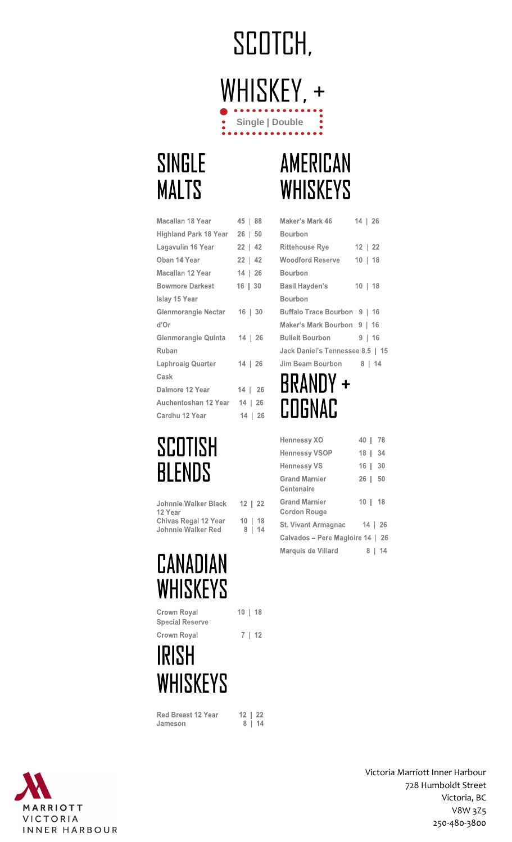## SCOTCH, WHISKEY, + Single | Double

## **SINGLE MALTS**

## AMERICAN **WHISKEYS**

Maker's Mark 46

**Rittehouse Rye** 

**Woodford Reserve** 

Bourbon

 $14 | 26$ 

 $12 | 22$ 

 $10 | 18$ 

| Macallan 18 Year             | 45   88      |
|------------------------------|--------------|
| <b>Highland Park 18 Year</b> | $26 \mid 50$ |
| Lagavulin 16 Year            | $22 \mid 42$ |
| Oban 14 Year                 | $22 \mid 42$ |
| Macallan 12 Year             | 14   26      |
| <b>Bowmore Darkest</b>       | 16   30      |
| <b>Islay 15 Year</b>         |              |
| Glenmorangie Nectar          | $16$   $30$  |
| d'Or                         |              |
| Glenmorangie Quinta          | 14   26      |
| Ruban                        |              |
| Laphroaig Quarter            | 14   26      |
| Cask                         |              |
| Dalmore 12 Year              | 14   26      |
| Auchentoshan 12 Year 14   26 |              |
| Cardhu 12 Year               | 14   26      |

## SCOTISH **BLENDS**

| <b>Johnnie Walker Black</b> | 12   22      |        |
|-----------------------------|--------------|--------|
| 12 Year                     |              |        |
| <b>Chivas Regal 12 Year</b> | $10 \mid 18$ |        |
| Johnnie Walker Red          |              | 8   14 |

## **CANADIAN WHISKEYS**

Crown Royal **Special Reserve** Crown Royal

## **IRISH WHISKEYS**

Red Breast 12 Year Jameson

 $\begin{array}{c|c} 12 & 22 \\ 8 & 14 \end{array}$ 

 $10 | 18$ 

 $7 | 12$ 



| <b>Bourbon</b>                   |           |
|----------------------------------|-----------|
| Basil Hayden's                   | $10$   18 |
| <b>Bourbon</b>                   |           |
| Buffalo Trace Bourbon 9   16     |           |
| Maker's Mark Bourbon 9   16      |           |
| <b>Bulleit Bourbon</b>           | 9   16    |
| Jack Daniel's Tennessee 8.5   15 |           |
| Jim Beam Bourbon                 | 8 14      |
| BRANDY +<br>COGNAC               |           |
| <b>Hennessy XO</b>               | 40   78   |
| <b>Hennessy VSOP</b>             | 18   34   |
| <b>Hennessy VS</b>               | 16   30   |
| <b>Grand Marnier</b>             | 26   50   |

| Centenaire                                  |             |
|---------------------------------------------|-------------|
| <b>Grand Marnier</b><br><b>Cordon Rouge</b> | $10$   $18$ |
| <b>St. Vivant Armagnac</b>                  | 14   26     |
| Calvados – Pere Magloire 14   26            |             |
| Marquis de Villard                          | -14<br>8 I  |